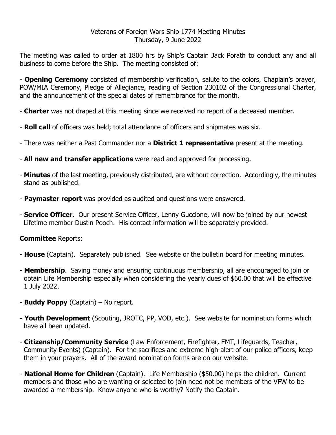## Veterans of Foreign Wars Ship 1774 Meeting Minutes Thursday, 9 June 2022

The meeting was called to order at 1800 hrs by Ship's Captain Jack Porath to conduct any and all business to come before the Ship. The meeting consisted of:

- **Opening Ceremony** consisted of membership verification, salute to the colors, Chaplain's prayer, POW/MIA Ceremony, Pledge of Allegiance, reading of Section 230102 of the Congressional Charter, and the announcement of the special dates of remembrance for the month.

- **Charter** was not draped at this meeting since we received no report of a deceased member.
- **Roll call** of officers was held; total attendance of officers and shipmates was six.
- There was neither a Past Commander nor a **District 1 representative** present at the meeting.
- **All new and transfer applications** were read and approved for processing.
- **Minutes** of the last meeting, previously distributed, are without correction. Accordingly, the minutes stand as published.
- **Paymaster report** was provided as audited and questions were answered.
- **Service Officer**. Our present Service Officer, Lenny Guccione, will now be joined by our newest Lifetime member Dustin Pooch. His contact information will be separately provided.

## **Committee** Reports:

- **House** (Captain). Separately published. See website or the bulletin board for meeting minutes.
- **Membership**. Saving money and ensuring continuous membership, all are encouraged to join or obtain Life Membership especially when considering the yearly dues of \$60.00 that will be effective 1 July 2022.
- **Buddy Poppy** (Captain) No report.
- **- Youth Development** (Scouting, JROTC, PP, VOD, etc.). See website for nomination forms which have all been updated.
- **Citizenship/Community Service** (Law Enforcement, Firefighter, EMT, Lifeguards, Teacher, Community Events) (Captain). For the sacrifices and extreme high-alert of our police officers, keep them in your prayers. All of the award nomination forms are on our website.
- **National Home for Children** (Captain). Life Membership (\$50.00) helps the children. Current members and those who are wanting or selected to join need not be members of the VFW to be awarded a membership. Know anyone who is worthy? Notify the Captain.